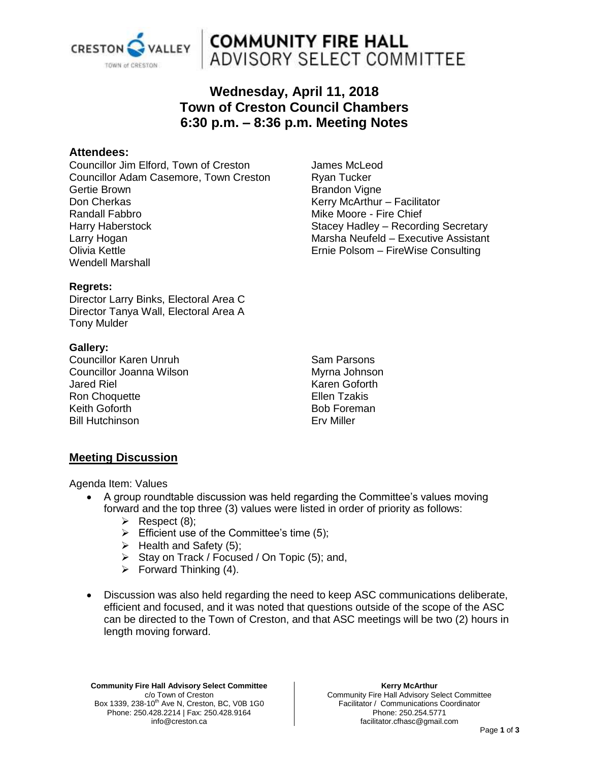

## **COMMUNITY FIRE HALL** ADVISORY SELECT COMMITTEE

### **Wednesday, April 11, 2018 Town of Creston Council Chambers 6:30 p.m. – 8:36 p.m. Meeting Notes**

#### **Attendees:**

Councillor Jim Elford, Town of Creston Councillor Adam Casemore, Town Creston Gertie Brown Don Cherkas Randall Fabbro Harry Haberstock Larry Hogan Olivia Kettle Wendell Marshall

James McLeod Ryan Tucker Brandon Vigne Kerry McArthur – Facilitator Mike Moore - Fire Chief Stacey Hadley – Recording Secretary Marsha Neufeld – Executive Assistant Ernie Polsom – FireWise Consulting

#### **Regrets:**

Director Larry Binks, Electoral Area C Director Tanya Wall, Electoral Area A Tony Mulder

#### **Gallery:**

Councillor Karen Unruh Councillor Joanna Wilson Jared Riel Ron Choquette Keith Goforth Bill Hutchinson

Sam Parsons Myrna Johnson Karen Goforth Ellen Tzakis Bob Foreman Erv Miller

#### **Meeting Discussion**

Agenda Item: Values

- A group roundtable discussion was held regarding the Committee's values moving forward and the top three (3) values were listed in order of priority as follows:
	- $\triangleright$  Respect (8);
	- $\triangleright$  Efficient use of the Committee's time (5);
	- $\triangleright$  Health and Safety (5);
	- $\triangleright$  Stay on Track / Focused / On Topic (5); and,
	- $\triangleright$  Forward Thinking (4).
- Discussion was also held regarding the need to keep ASC communications deliberate, efficient and focused, and it was noted that questions outside of the scope of the ASC can be directed to the Town of Creston, and that ASC meetings will be two (2) hours in length moving forward.

**Community Fire Hall Advisory Select Committee** c/o Town of Creston Box 1339, 238-10<sup>th</sup> Ave N, Creston, BC, V0B 1G0 Phone: 250.428.2214 | Fax: 250.428.9164 info@creston.ca

**Kerry McArthur** Community Fire Hall Advisory Select Committee Facilitator / Communications Coordinator Phone: 250.254.5771 facilitator.cfhasc@gmail.com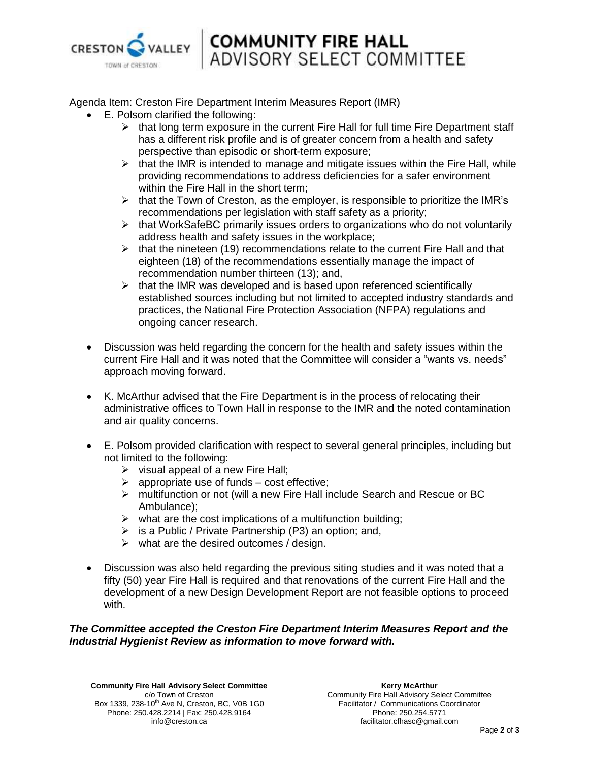

# **COMMUNITY FIRE HALL** ADVISORY SELECT COMMITTEE

Agenda Item: Creston Fire Department Interim Measures Report (IMR)

- E. Polsom clarified the following:
	- $\triangleright$  that long term exposure in the current Fire Hall for full time Fire Department staff has a different risk profile and is of greater concern from a health and safety perspective than episodic or short-term exposure;
	- $\triangleright$  that the IMR is intended to manage and mitigate issues within the Fire Hall, while providing recommendations to address deficiencies for a safer environment within the Fire Hall in the short term;
	- $\triangleright$  that the Town of Creston, as the employer, is responsible to prioritize the IMR's recommendations per legislation with staff safety as a priority;
	- $\triangleright$  that WorkSafeBC primarily issues orders to organizations who do not voluntarily address health and safety issues in the workplace;
	- $\triangleright$  that the nineteen (19) recommendations relate to the current Fire Hall and that eighteen (18) of the recommendations essentially manage the impact of recommendation number thirteen (13); and,
	- $\triangleright$  that the IMR was developed and is based upon referenced scientifically established sources including but not limited to accepted industry standards and practices, the National Fire Protection Association (NFPA) regulations and ongoing cancer research.
- Discussion was held regarding the concern for the health and safety issues within the current Fire Hall and it was noted that the Committee will consider a "wants vs. needs" approach moving forward.
- K. McArthur advised that the Fire Department is in the process of relocating their administrative offices to Town Hall in response to the IMR and the noted contamination and air quality concerns.
- E. Polsom provided clarification with respect to several general principles, including but not limited to the following:
	- $\triangleright$  visual appeal of a new Fire Hall;
	- $\triangleright$  appropriate use of funds cost effective;
	- multifunction or not (will a new Fire Hall include Search and Rescue or BC Ambulance);
	- $\triangleright$  what are the cost implications of a multifunction building;
	- $\triangleright$  is a Public / Private Partnership (P3) an option; and,
	- $\triangleright$  what are the desired outcomes / design.
- Discussion was also held regarding the previous siting studies and it was noted that a fifty (50) year Fire Hall is required and that renovations of the current Fire Hall and the development of a new Design Development Report are not feasible options to proceed with.

#### *The Committee accepted the Creston Fire Department Interim Measures Report and the Industrial Hygienist Review as information to move forward with.*

**Community Fire Hall Advisory Select Committee** c/o Town of Creston Box 1339, 238-10<sup>th</sup> Ave N, Creston, BC, V0B 1G0 Phone: 250.428.2214 | Fax: 250.428.9164 info@creston.ca

**Kerry McArthur** Community Fire Hall Advisory Select Committee Facilitator / Communications Coordinator Phone: 250.254.5771 facilitator.cfhasc@gmail.com